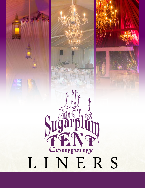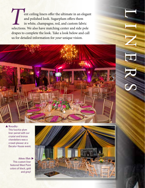**The Equilibrium** content ceiling liners offer the ultimate in an elegant and polished look. Sugarplum offers them in white, champagne, red, and custom fabric selections. We also have matching center and side pole and polished look. Sugarplum offers them in white, champagne, red, and custom fabric drapes to complete the look. Take a look below and call us for detailed information for *your* unique vision.



## ▲ **Royalty:**

This fuschia-plum liner paired with our crystal and bronze chandeliers was a crowd-pleaser at a Decatur House event.

▲ **Atten-Hut:** This custom liner featured West Point colors of black, gold and grey!



SYLINERS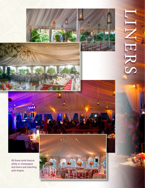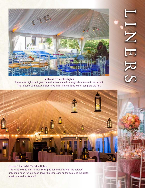

**Lanterns & Twinkle lights:** These small lights look great behind a liner and add a magical ambiance to any event. The lanterns with faux candles have small filigree lights which complete the fun.



**Classic Liner with Twinkle lights:**

This classic white liner has twinkle lights behind it and with the colored uplighting, once the sun goes down, the liner takes on the colors of the lights presto, a new look is born!